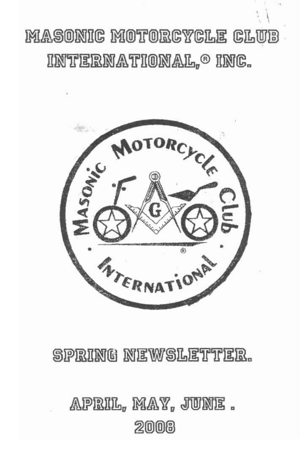## MASONIC MOTORCYCLE CLUB INTERNATIONAL,<sup>o</sup> INC.



## SPRING NEWSLETTER.

## APRIL, MAY, JUNE . 2008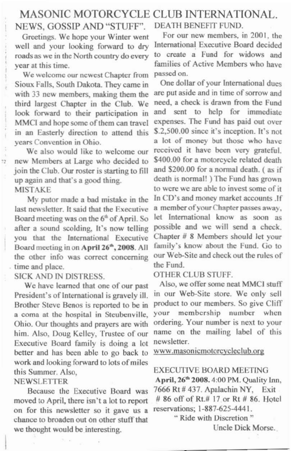## MASONIC MOTORCYCLE CLUB INTERNATIONAL.<br>VEWS. GOSSIP AND "STUFF" DEATH BENEFIT FUND. NEWS, GOSSIP AND "STUFF". DEATH BENEFIT FUND.<br>Greetings, We hope your Winter went For our new members, in 2001, the

well and your looking forward to dry International Executive Board decided<br>roads as we in the North country do every to create a Fund for widows and roads as we in the North country do every

We welcome our newest Chapter from passed on.<br>oux Falls, South Dakota, They came in One dollar of your International dues Sioux Falls, South Dakota. They came in One dollar of your International dues<br>with 33 new members making them the arc put aside and in time of sorrow and with 33 new members, making them the are put aside and in time of sorrow and third largest Chapter in the Club. We need, a check is drawn from the Fund third largest Chapter in the Club. We need, a check is drawn from the Fund<br>look forward to their participation in and sent to help for immediate look forward to their participation in and sent to help for immediate MMCI and hone some of them can travel expenses. The Fund has paid out over MMCI and hope some of them can travel expenses. The Fund has paid out over<br>in an Easterly direction to attend this  $$2,500.00$  since it's inception. It's not in an Easterly direction to attend this

new Members at Large who decided to \$400.00 for a motorcycle related death<br>join the Club Our roster is starting to 611 and \$200.00 for a normal death. (as if join the Club. Our roster is starting to fill and \$200.00 for a normal death. (as if<br>un again and that's a good thing death is normal!) The Fund has grown up again and that's a good thing.

last newsletter. It said that the Executive  $\alpha$  member of your Chapter passes away,<br>Board meeting was on the 6<sup>th</sup> of April So, let International know as soon as Board meeting was on the  $6^{\text{th}}$  of April. So let International know as soon as after a sound scolding It's now telling possible and we will send a check. after a sound scolding, It's now telling possible and we will send a check.<br>vou that the International Executive Chapter  $# 8$  Members should let vour you that the International Executive Chapter # 8 Members should let your<br>Board meeting in on April 26<sup>th</sup> 2008 All family's know about the Fund. Go to Board meeting in on April 26<sup>th</sup>, 2008. All family's know about the Fund. Go to the other info was correct concerning our Web-Site and check out the rules of the other info was correct concerning our Web- $\frac{1}{2}$  the rund time and place. the Fund.<br>SICK AND IN DISTRESS OTHER CLUB STUFF.

 $\overline{\mathcal{D}}$ 

President's of International is gravely ill. in our Web-Site store. We only sell<br>Brother Steve Benos is reported to be in product to our members. So give Cliff Brother Steve Benos is reported to be in product to our members. So give Cliff<br>a coma at the bosnital in Steubenville, your membership number, when a coma at the hospital in Steubenville, your membership number when<br>Ohio Our thoughts and prayers are with ordering. Your number is next to your Ohio. Our thoughts and prayers are with ordering. Your number is next to your<br>him Also, Doug Kelley, Trustee of our name on the mailing label of this him. Also, Doug Kelley, Trustee of our name on the mail of the mail of the mail of the mail the mail the mail of the mail of the mail of the mail of the mail of the mail of the mail of the mail of the mail of the mail of t Executive Board family is doing a lot better and has been able to go back to work and looking forward to lots of miles this Summer. Also, EXECUTIVE BOARD MEETING

Because the Executive Board was 7666 Rt # 437. Apalachin NY, Exit<br>
led to April there isn't a lot to report # 86 off of Rt # 17 or Rt # 86. Hotel moved to April, there isn't a lot to report #86 off of Rt.#17 or Rt #8 on for this newsletter so it gave us a reservations: 1-887-625-4441. on for this newsletter so it gave us a chance to broaden out on other stuff that we thought would be interesting.

Greetings. We hope your Winter went For our new members, in 2001, the sell and your looking forward to dry International Executive Board decided year at this time.<br>We welcome our newest Chapter from passed on.

years Convention in Ohio. a lot of money but those who have<br>We also would like to welcome our received it have been very grateful. received it have been very grateful.<br>\$400.00 for a motorcycle related death MISTAKE<br>My putor made a bad mistake in the In CD's and money market accounts. If My putor made a bad mistake in the  $\ln$  CD's and money market accounts .If newsletter. It said that the Executive a member of your Chapter passes away.

SICK AND IN DISTRESS. OTHER CLUB STUFF.<br>We have learned that one of our nast. Also, we offer some neat MMCI stuff. We have learned that one of our past Also, we offer some neat MMCI stuff<br>exident's of International is gravely ill in our Web-Site store. We only sell

www.masonicmotorcycleclub.org

# NEWSLETTER April, 26<sup>th</sup> 2008. 4:00 PM. Quality Inn,

" Ride with Discretion" Uncle Dick Morse.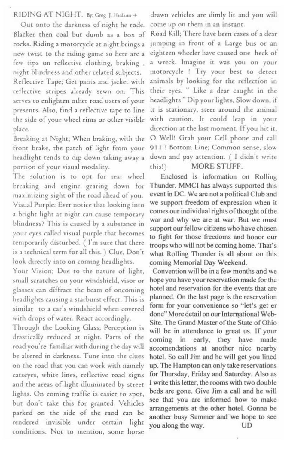### RIDING AT NIGHT. By; Greg J. Hudson +

Out onto the darkness of night he rode. Blacker then coal but dumb as a box of rocks. Riding a motorcycle at night brings a new twist to the riding game so here are a few tips on reflective clothing, braking, night blindness and other related subjects. Reflective Tape; Get pants and jacket with

reflective stripes already sewn on. This serves to enlighten other road users of your presents. Also, find a reflective tape to line the side of your wheel rims or other visible place.

Breaking at Night; When braking, with the front brake, the patch of light from your headlight tends to dip down taking away a portion of your visual modality.

The solution is to opt for rear wheel breaking and engine gearing down for maximizing sight of the road ahead of you. Visual Purple: Ever notice that looking into a bright light at night can cause temporary blindness? This is caused by a substance in your eyes called visual purple that becomes temporarily disturbed. (I'm sure that there is a technical term for all this. ) Clue, Don't look directly into on coming headlights.

Your Vision; Due to the nature of light, small scratches on your windshield, visor or glasses can diffract the beam of oncoming headlights causing a starburst effect. This is similar to a car's windshield when covered with drops of water. React accordingly.

Through the Looking Glass; Perception is drastically reduced at night. Parts of the road you're familiar with during the day will be altered in darkness. Tune into the clues on the road that you can work with namely catseyes, white lines, reflective road signs and the areas of light illuminated by street lights. On coming traffic is easier to spot, but don't take this for granted. Vehicles parked on the side of the raod can be rendered invisible under certain light conditions. Not to mention, some horse

drawn vehicles are dimly lit and you will come up on them in an instant.

Road Kill: There have been cases of a dear jumping in front of a Large bus or an eighteen wheeler have caused one heck of a wreck. Imagine it was you on your motorcycle ! Try your best to detect animals by looking for the reflection in their eyes. " Like a dear caught in the headlights" Dip your lights, Slow down, if it is stationary, steer around the animal with caution. It could leap in your direction at the last moment. If you hit it, O Well! Grab your Cell phone and call 911 ! Bottom Line; Common sense, slow down and pay attention. ( I didn't write **MORE STUFF.** this!)

Enclosed is information on Rolling Thunder. MMCI has always supported this event in DC. We are not a political Club and we support freedom of expression when it comes our individual rights of thought of the war and why we are at war. But we must support our fellow citizens who have chosen to fight for those freedoms and honor our troops who will not be coming home. That's what Rolling Thunder is all about on this coming Memorial Day Weekend.

Convention will be in a few months and we hope you have your reservation made for the hotel and reservation for the events that are planned. On the last page is the reservation form for your convenience so "let's get er done" More detail on our International Web-Site. The Grand Master of the State of Ohio will be in attendance to great us. If your coming in early, they have made accomendations at another nice nearby hotel. So call Jim and he will get you lined up. The Hampton can only take reservations for Thursday, Friday and Saturday. Also as I write this letter, the rooms with two double beds are gone. Give Jim a call and he will see that you are informed how to make arrangements at the other hotel. Gonna be another busy Summer and we hope to see you along the way. UD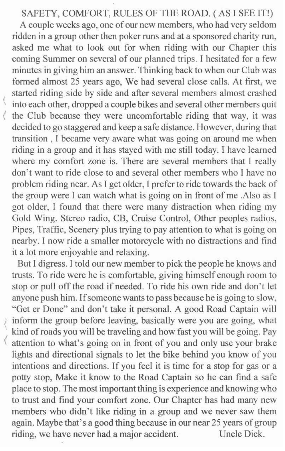### SAFETY, COMFORT, RULES OF THE ROAD. (AS I SEE IT!)

A couple weeks ago, one of our new members, who had very seldom **ridden in a group other then poker runs and at a sponsored charity run. asked me what to look out for when riding with our Chapter this coming Summer on several of our planned trips. I hesitated for a few minutes in giving him an answer. Thinking back to when our Club was**  formed almost 25 years ago, We had several close calls. At first, we **started riding side by side and after several members almost crashed ( into each other, dropped a couple bikes and several other members quit**  the Club because they were uncomfortable riding that way, it was decided to go staggered and keep a safe distance. However, during that **transition, I became very aware what was going on around me when riding in a group and it has stayed with me still today. I have learned**  where my comfort zone is. There are several members that I really **don't want to ride close to and severa] other members who 1 have no**  problem riding near. As I get older, I prefer to ride towards the back of **the group were I can watch what is going on in front of me .Also as I got older, I found that there were many distraction when riding my**  Gold Wing, Stereo radio, CB, Cruise Control, Other peoples radios, **Pipes, Traffic, Scenery plus trying to pay attention to what is going on nearby. I now ride a smaller motorcycle with no distractions and find it a lot more enjoyable and relaxing.** 

But I digress. I told our new member to pick the people he knows and **trusts. To ride were he is comfortable, giving himself enough room to**  stop or pull off the road if needed. To ride his own ride and don't let **anyone push him. [fsomeone wants to pass because he is going to slow,**  "Get er Done" and don't take it personal. A good Road Captain will inform the group before leaving, basically were you are going, what **kind of roads you will be traveling and how fast you will be going. Pay < attention to what's going on in front of you and only use your brake**  lights and directional signals to let the bike behind you know of you **intentions and directions. If you feci it is time for a stop for gas or a**  potty stop, Make it know to the Road Captain so he can find a safe **place to stop. Tne most important thing is experience and knowing who to trust and find your comfort zone. Our Chapter has had many new members who didn't like riding in a group and we never saw them**  again. Maybe that's a good thing because in our near *2S* years of group **riding, we have never had a major accident. Uncle Dick.**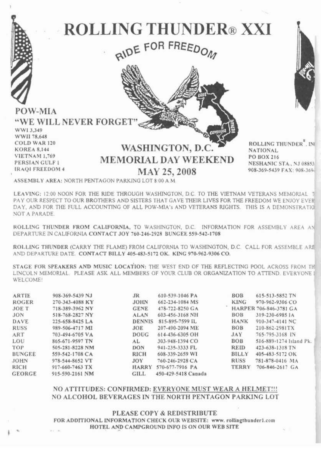



ROLLING THUNDER<sup>®</sup>, IN **NATIONAL** PO BOX 216 NESHANIC STA., NJ 08853 908-369-5439 FAX: 908-369-

ASSEMBLY AREA: NORTH PENTAGON PARKING LOT 8:00 A M.

LEAVING: 12:00 NOON FOR THE RIDE THROUGH WASHINGTON, D.C. TO THE VIETNAM VETERANS MEMORIAL T PAY OUR RESPECT TO OUR BROTHERS AND SISTERS THAT GAVE THEIR LIVES FOR THE FREEDOM WE ENJOY EVER DAY, AND FOR THE FULL ACCOUNTING OF ALL POW-MIA's AND VETERANS RIGHTS. THIS IS A DEMONSTRATION NOT A PARADE.

ROLLING THUNDER FROM CALIFORNIA, TO WASHINGTON, D.C. INFORMATION FOR ASSEMBLY AREA AN DEPARTURE IN CALIFORNIA CONTACT JOY 760-246-2928 BUNGEE 559-542-1708

ROLLING THUNDER (CARRY THE FLAME) FROM CALIFORNIA TO WASHINGTON, D.C. CALL FOR ASSEMBLE ARE AND DEPARTURE DATE. CONTACT BILLY 405-483-5172 OK. KING 970-962-9306 CO.

STAGE FOR SPEAKERS AND MUSIC LOCATION: THE WEST END OF THE REFLECTING POOL ACROSS FROM TH LINCOLN MEMORIAL. PLEASE ASK ALL MEMBERS OF YOUR CLUB OR ORGANIZATION TO ATTEND. EVERYONE I WELCOME!

**ARTIE** 908-369-5439 NJ 270-343-4088 KY **ROGER JOET** 718-389-3962 NY **JON** 518-768-2827 NY DAVE 225-658-8425 LA **RUSS** 989-506-4717 MI ART 703-494-6705 VA LOU 865-671-9597 TN TOP 505-281-8228 NM **BUNGEE** 559-542-1708 CA **JOHN** 978-544-8652 VT **RICH** 917-660-7463 TX **GEORGE** 915-590-2161 NM

 $_{\rm IR}$ 610-539-1046 PA 662-234-1084 MS **JOHN GENE** 478-722-8250 GA **ALAN** 603-456-3168 NH DENNIS 815-895-7599 IL **JOE** 207-490-2094 ME **DOUG** 614-436-6305 OH AL. 303-948-1394 CO DON 941-235-3333 FL **RICH** 608-339-2659 WI **JOY** 760-246-2928 CA HARRY 570-677-7916 PA **GILL** 450-429-5418 Canada

**ROB** 615-513-5852 TN **KING** 970-962-9306 CO HARPER 706-846-3781 GA **BOB** 319-230-6985 JA **HANK** 910-347-4141 NC **BOB** 210-862-2981TX **JAY** 765-795-3168 IN **BOB** 516-889-1274 Island Pk. **REID** 423-638-1318 TN BILLY 405-483-5172 OK **RUSS** 781-878-0416 MA TERRY 706-846-2617 GA

### NO ATTITUDES: CONFIRMED: EVERYONE MUST WEAR A HELMET !!! NO ALCOHOL BEVERAGES IN THE NORTH PENTAGON PARKING LOT

PLEASE COPY & REDISTRIBUTE FOR ADDITIONAL INFORMATION CHECK OUR WEBSITE: www.rollingthunder1.com HOTEL AND CAMPGROUND INFO IS ON OUR WEB SITE